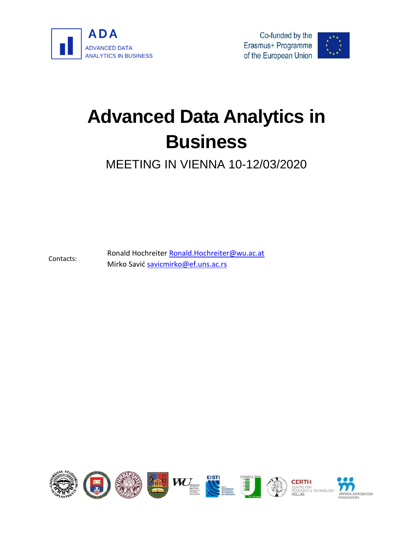

Contacts:





# **Advanced Data Analytics in Business**

MEETING IN VIENNA 10-12/03/2020

Ronald Hochreiter [Ronald.Hochreiter@wu.ac.at](mailto:Ronald.Hochreiter@wu.ac.at) Mirko Savić [savicmirko@ef.uns.ac.rs](mailto:savicmirko@ef.uns.ac.rs)

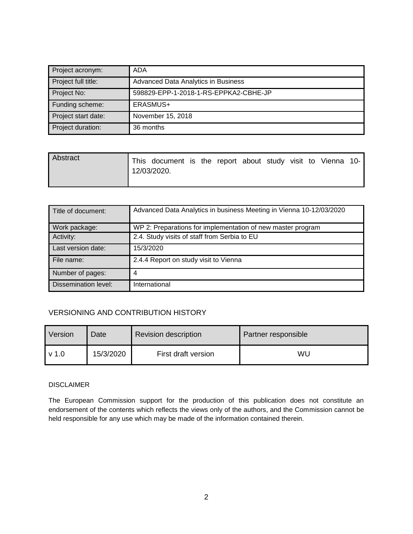| Project acronym:    | ADA                                   |
|---------------------|---------------------------------------|
| Project full title: | Advanced Data Analytics in Business   |
| Project No:         | 598829-EPP-1-2018-1-RS-EPPKA2-CBHE-JP |
| Funding scheme:     | ERASMUS+                              |
| Project start date: | November 15, 2018                     |
| Project duration:   | 36 months                             |

| Abstract | This document is the report about study visit to Vienna 10-<br>12/03/2020. |  |  |  |  |  |
|----------|----------------------------------------------------------------------------|--|--|--|--|--|
|          |                                                                            |  |  |  |  |  |

| Title of document:   | Advanced Data Analytics in business Meeting in Vienna 10-12/03/2020 |
|----------------------|---------------------------------------------------------------------|
| Work package:        | WP 2: Preparations for implementation of new master program         |
| Activity:            | 2.4. Study visits of staff from Serbia to EU                        |
| Last version date:   | 15/3/2020                                                           |
| File name:           | 2.4.4 Report on study visit to Vienna                               |
| Number of pages:     | 4                                                                   |
| Dissemination level: | International                                                       |

#### VERSIONING AND CONTRIBUTION HISTORY

| Version          | Date <sup>l</sup> | <b>Revision description</b> | Partner responsible |  |  |
|------------------|-------------------|-----------------------------|---------------------|--|--|
| v <sub>1.0</sub> | 15/3/2020         | First draft version         | WL                  |  |  |

#### DISCLAIMER

The European Commission support for the production of this publication does not constitute an endorsement of the contents which reflects the views only of the authors, and the Commission cannot be held responsible for any use which may be made of the information contained therein.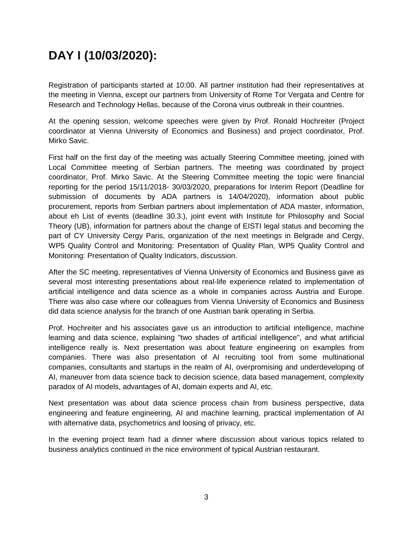## **DAY I (10/03/2020):**

Registration of participants started at 10:00. All partner institution had their representatives at the meeting in Vienna, except our partners from University of Rome Tor Vergata and Centre for Research and Technology Hellas, because of the Corona virus outbreak in their countries.

At the opening session, welcome speeches were given by Prof. Ronald Hochreiter (Project coordinator at Vienna University of Economics and Business) and project coordinator, Prof. Mirko Savic.

First half on the first day of the meeting was actually Steering Committee meeting, joined with Local Committee meeting of Serbian partners. The meeting was coordinated by project coordinator, Prof. Mirko Savic. At the Steering Committee meeting the topic were financial reporting for the period 15/11/2018- 30/03/2020, preparations for Interim Report (Deadline for submission of documents by ADA partners is 14/04/2020), information about public procurement, reports from Serbian partners about implementation of ADA master, information, about eh List of events (deadline 30.3.), joint event with Institute for Philosophy and Social Theory (UB), information for partners about the change of EISTI legal status and becoming the part of CY University Cergy Paris, organization of the next meetings in Belgrade and Cergy, WP5 Quality Control and Monitoring: Presentation of Quality Plan, WP5 Quality Control and Monitoring: Presentation of Quality Indicators, discussion.

After the SC meeting, representatives of Vienna University of Economics and Business gave as several most interesting presentations about real-life experience related to implementation of artificial intelligence and data science as a whole in companies across Austria and Europe. There was also case where our colleagues from Vienna University of Economics and Business did data science analysis for the branch of one Austrian bank operating in Serbia.

Prof. Hochreiter and his associates gave us an introduction to artificial intelligence, machine learning and data science, explaining "two shades of artificial intelligence", and what artificial intelligence really is. Next presentation was about feature engineering on examples from companies. There was also presentation of AI recruiting tool from some multinational companies, consultants and startups in the realm of AI, overpromising and underdeveloping of AI, maneuver from data science back to decision science, data based management, complexity paradox of AI models, advantages of AI, domain experts and AI, etc.

Next presentation was about data science process chain from business perspective, data engineering and feature engineering, AI and machine learning, practical implementation of AI with alternative data, psychometrics and loosing of privacy, etc.

In the evening project team had a dinner where discussion about various topics related to business analytics continued in the nice environment of typical Austrian restaurant.